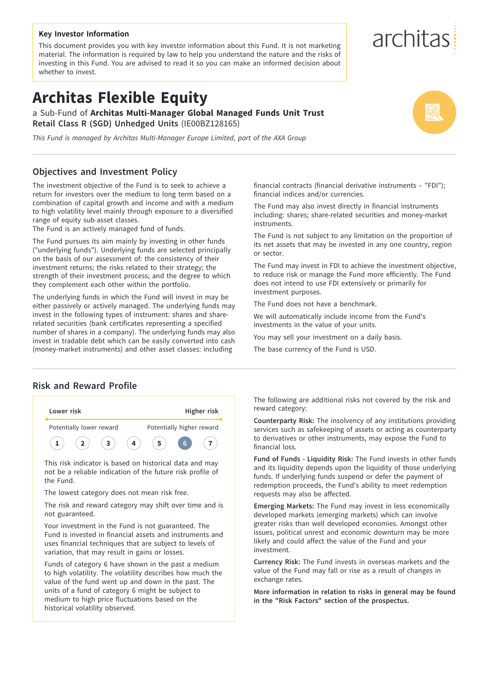#### **Key Investor Information**

This document provides you with key investor information about this Fund. It is not marketing material. The information is required by law to help you understand the nature and the risks of investing in this Fund. You are advised to read it so you can make an informed decision about whether to invest.

# **Architas Flexible Equity**

a Sub-Fund of **Architas Multi-Manager Global Managed Funds Unit Trust Retail Class R (SGD) Unhedged Units** (IE00BZ128165)

*This Fund is managed by Architas Multi-Manager Europe Limited, part of the AXA Group*

## **Objectives and Investment Policy**

The investment objective of the Fund is to seek to achieve a return for investors over the medium to long term based on a combination of capital growth and income and with a medium to high volatility level mainly through exposure to a diversified range of equity sub-asset classes.

The Fund is an actively managed fund of funds.

The Fund pursues its aim mainly by investing in other funds ("underlying funds"). Underlying funds are selected principally on the basis of our assessment of: the consistency of their investment returns; the risks related to their strategy; the strength of their investment process; and the degree to which they complement each other within the portfolio.

The underlying funds in which the Fund will invest in may be either passively or actively managed. The underlying funds may invest in the following types of instrument: shares and sharerelated securities (bank certificates representing a specified number of shares in a company). The underlying funds may also invest in tradable debt which can be easily converted into cash (money-market instruments) and other asset classes: including

financial contracts (financial derivative instruments – "FDI"); financial indices and/or currencies.

The Fund may also invest directly in financial instruments including: shares; share-related securities and money-market instruments.

The Fund is not subject to any limitation on the proportion of its net assets that may be invested in any one country, region or sector.

The Fund may invest in FDI to achieve the investment objective, to reduce risk or manage the Fund more efficiently. The Fund does not intend to use FDI extensively or primarily for investment purposes.

The Fund does not have a benchmark.

We will automatically include income from the Fund's investments in the value of your units.

You may sell your investment on a daily basis.

The base currency of the Fund is USD.

## **Risk and Reward Profile**



This risk indicator is based on historical data and may not be a reliable indication of the future risk profile of the Fund.

The lowest category does not mean risk free.

The risk and reward category may shift over time and is not guaranteed.

Your investment in the Fund is not guaranteed. The Fund is invested in financial assets and instruments and uses financial techniques that are subject to levels of variation, that may result in gains or losses.

Funds of category 6 have shown in the past a medium to high volatility. The volatility describes how much the value of the fund went up and down in the past. The units of a fund of category 6 might be subject to medium to high price fluctuations based on the historical volatility observed.

The following are additional risks not covered by the risk and reward category:

**Counterparty Risk:** The insolvency of any institutions providing services such as safekeeping of assets or acting as counterparty to derivatives or other instruments, may expose the Fund to financial loss.

**Fund of Funds - Liquidity Risk:** The Fund invests in other funds and its liquidity depends upon the liquidity of those underlying funds. If underlying funds suspend or defer the payment of redemption proceeds, the Fund's ability to meet redemption requests may also be affected.

**Emerging Markets:** The Fund may invest in less economically developed markets (emerging markets) which can involve greater risks than well developed economies. Amongst other issues, political unrest and economic downturn may be more likely and could affect the value of the Fund and your investment.

**Currency Risk:** The Fund invests in overseas markets and the value of the Fund may fall or rise as a result of changes in exchange rates.

**More information in relation to risks in general may be found in the "Risk Factors" section of the prospectus.**

# architas